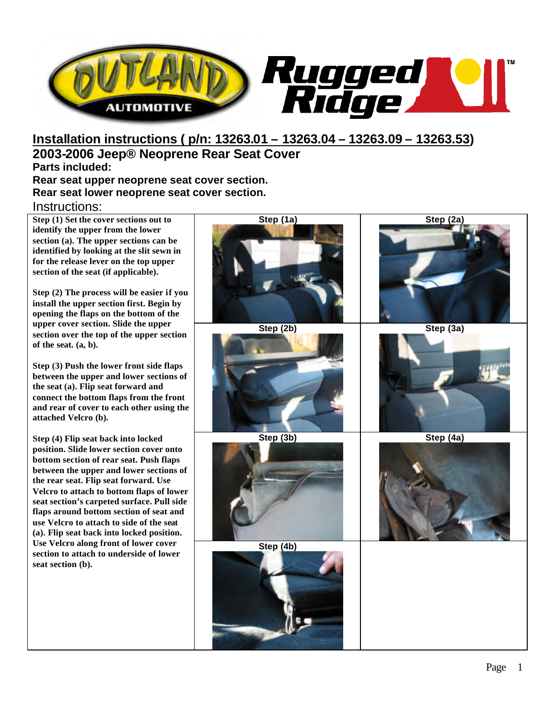

## **Installation instructions ( p/n: 13263.01 – 13263.04 – 13263.09 – 13263.53) 2003-2006 Jeep® Neoprene Rear Seat Cover Parts included:**

**Rear seat upper neoprene seat cover section. Rear seat lower neoprene seat cover section.**

## Instructions:

**Step (1) Set the cover sections out to identify the upper from the lower section (a). The upper sections can be identified by looking at the slit sewn in for the release lever on the top upper section of the seat (if applicable).** 

**Step (2) The process will be easier if you install the upper section first. Begin by opening the flaps on the bottom of the upper cover section. Slide the upper section over the top of the upper section of the seat. (a, b).**

**Step (3) Push the lower front side flaps between the upper and lower sections of the seat (a). Flip seat forward and connect the bottom flaps from the front and rear of cover to each other using the attached Velcro (b).** 

**Step (4) Flip seat back into locked position. Slide lower section cover onto bottom section of rear seat. Push flaps between the upper and lower sections of the rear seat. Flip seat forward. Use Velcro to attach to bottom flaps of lower seat section's carpeted surface. Pull side flaps around bottom section of seat and use Velcro to attach to side of the seat (a). Flip seat back into locked position. Use Velcro along front of lower cover section to attach to underside of lower seat section (b).**